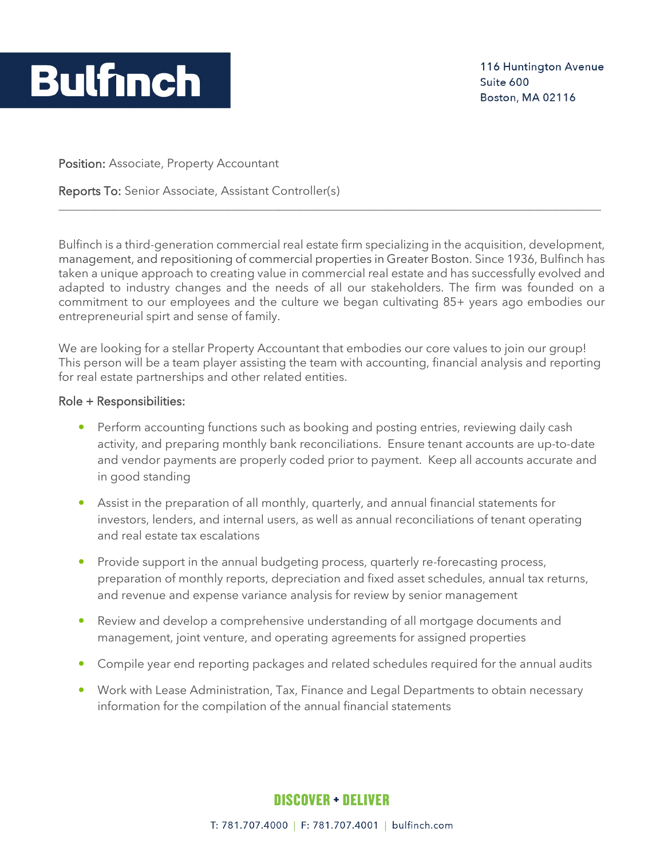

Position: Associate, Property Accountant

Reports To: Senior Associate, Assistant Controller(s)

Bulfinch is a third-generation commercial real estate firm specializing in the acquisition, development, management, and repositioning of commercial properties in Greater Boston. Since 1936, Bulfinch has taken a unique approach to creating value in commercial real estate and has successfully evolved and adapted to industry changes and the needs of all our stakeholders. The firm was founded on a commitment to our employees and the culture we began cultivating 85+ years ago embodies our entrepreneurial spirt and sense of family.

\_\_\_\_\_\_\_\_\_\_\_\_\_\_\_\_\_\_\_\_\_\_\_\_\_\_\_\_\_\_\_\_\_\_\_\_\_\_\_\_\_\_\_\_\_\_\_\_\_\_\_\_\_\_\_\_\_\_\_\_\_\_\_\_\_\_\_\_\_\_\_\_\_\_\_\_\_\_\_\_\_\_\_\_\_\_\_\_\_\_\_

We are looking for a stellar Property Accountant that embodies our core values to join our group! This person will be a team player assisting the team with accounting, financial analysis and reporting for real estate partnerships and other related entities.

## Role + Responsibilities:

- Perform accounting functions such as booking and posting entries, reviewing daily cash activity, and preparing monthly bank reconciliations. Ensure tenant accounts are up-to-date and vendor payments are properly coded prior to payment. Keep all accounts accurate and in good standing
- Assist in the preparation of all monthly, quarterly, and annual financial statements for investors, lenders, and internal users, as well as annual reconciliations of tenant operating and real estate tax escalations
- Provide support in the annual budgeting process, quarterly re-forecasting process, preparation of monthly reports, depreciation and fixed asset schedules, annual tax returns, and revenue and expense variance analysis for review by senior management
- Review and develop a comprehensive understanding of all mortgage documents and management, joint venture, and operating agreements for assigned properties
- Compile year end reporting packages and related schedules required for the annual audits
- Work with Lease Administration, Tax, Finance and Legal Departments to obtain necessary information for the compilation of the annual financial statements

## **DISCOVER + DELIVER**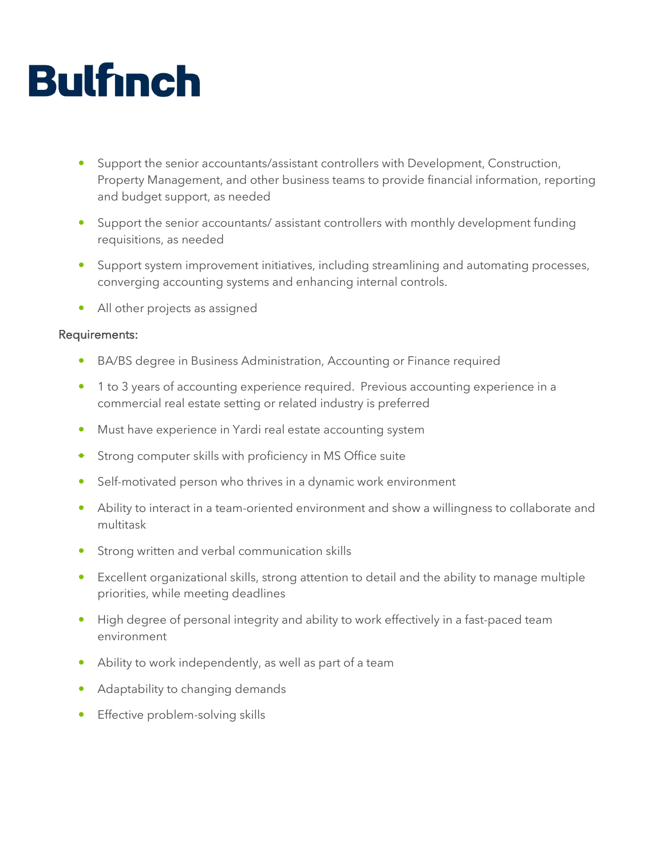## **Bulfinch**

- Support the senior accountants/assistant controllers with Development, Construction, Property Management, and other business teams to provide financial information, reporting and budget support, as needed
- Support the senior accountants/ assistant controllers with monthly development funding requisitions, as needed
- Support system improvement initiatives, including streamlining and automating processes, converging accounting systems and enhancing internal controls.
- All other projects as assigned

## Requirements:

- BA/BS degree in Business Administration, Accounting or Finance required
- 1 to 3 years of accounting experience required. Previous accounting experience in a commercial real estate setting or related industry is preferred
- Must have experience in Yardi real estate accounting system
- **Strong computer skills with proficiency in MS Office suite**
- Self-motivated person who thrives in a dynamic work environment
- Ability to interact in a team-oriented environment and show a willingness to collaborate and multitask
- Strong written and verbal communication skills
- Excellent organizational skills, strong attention to detail and the ability to manage multiple priorities, while meeting deadlines
- High degree of personal integrity and ability to work effectively in a fast-paced team environment
- Ability to work independently, as well as part of a team
- Adaptability to changing demands
- Effective problem-solving skills